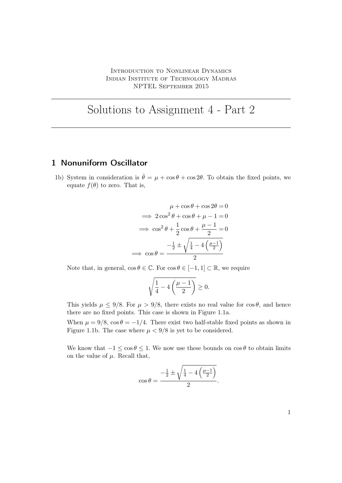## Solutions to Assignment 4 - Part 2

## 1 Nonuniform Oscillator

1b) System in consideration is  $\dot{\theta} = \mu + \cos \theta + \cos 2\theta$ . To obtain the fixed points, we equate  $f(\theta)$  to zero. That is,

$$
\mu + \cos \theta + \cos 2\theta = 0
$$
  
\n
$$
\implies 2 \cos^2 \theta + \cos \theta + \mu - 1 = 0
$$
  
\n
$$
\implies \cos^2 \theta + \frac{1}{2} \cos \theta + \frac{\mu - 1}{2} = 0
$$
  
\n
$$
\implies \cos \theta = \frac{-\frac{1}{2} \pm \sqrt{\frac{1}{4} - 4\left(\frac{\mu - 1}{2}\right)}}{2}
$$

Note that, in general,  $\cos \theta \in \mathbb{C}$ . For  $\cos \theta \in [-1, 1] \subset \mathbb{R}$ , we require

$$
\sqrt{\frac{1}{4}-4\left(\frac{\mu-1}{2}\right)}\geq 0.
$$

This yields  $\mu \le 9/8$ . For  $\mu > 9/8$ , there exists no real value for  $\cos \theta$ , and hence there are no fixed points. This case is shown in Figure 1.1a.

When  $\mu = 9/8$ ,  $\cos \theta = -1/4$ . There exist two half-stable fixed points as shown in Figure 1.1b. The case where  $\mu < 9/8$  is yet to be considered.

We know that  $-1 \le \cos \theta \le 1$ . We now use these bounds on  $\cos \theta$  to obtain limits on the value of  $\mu$ . Recall that,

$$
\cos \theta = \frac{-\frac{1}{2} \pm \sqrt{\frac{1}{4} - 4\left(\frac{\mu - 1}{2}\right)}}{2}.
$$

1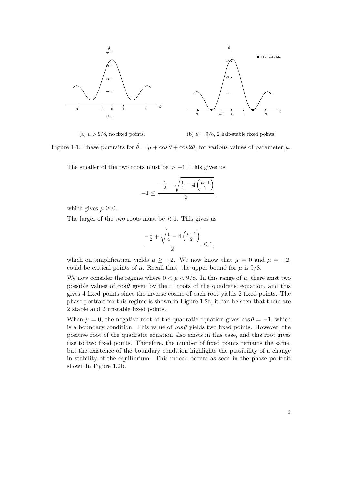

(a)  $\mu > 9/8$ , no fixed points. (b)  $\mu = 9/8$ , 2 half-stable fixed points.

Figure 1.1: Phase portraits for  $\dot{\theta} = \mu + \cos \theta + \cos 2\theta$ , for various values of parameter  $\mu$ .

The smaller of the two roots must be  $> -1$ . This gives us

$$
-1\leq \frac{-\frac{1}{2}-\sqrt{\frac{1}{4}-4\left(\frac{\mu-1}{2}\right)}}{2},
$$

which gives  $\mu \geq 0$ .

The larger of the two roots must be  $\lt 1$ . This gives us

$$
\frac{-\frac{1}{2}+\sqrt{\frac{1}{4}-4\left(\frac{\mu-1}{2}\right)}}{2}\leq 1,
$$

which on simplification yields  $\mu \geq -2$ . We now know that  $\mu = 0$  and  $\mu = -2$ , could be critical points of  $\mu$ . Recall that, the upper bound for  $\mu$  is 9/8.

We now consider the regime where  $0 < \mu < 9/8$ . In this range of  $\mu$ , there exist two possible values of  $\cos \theta$  given by the  $\pm$  roots of the quadratic equation, and this gives 4 fixed points since the inverse cosine of each root yields 2 fixed points. The phase portrait for this regime is shown in Figure 1.2a, it can be seen that there are 2 stable and 2 unstable fixed points.

When  $\mu = 0$ , the negative root of the quadratic equation gives  $\cos \theta = -1$ , which is a boundary condition. This value of  $\cos \theta$  yields two fixed points. However, the positive root of the quadratic equation also exists in this case, and this root gives rise to two fixed points. Therefore, the number of fixed points remains the same, but the existence of the boundary condition highlights the possibility of a change in stability of the equilibrium. This indeed occurs as seen in the phase portrait shown in Figure 1.2b.